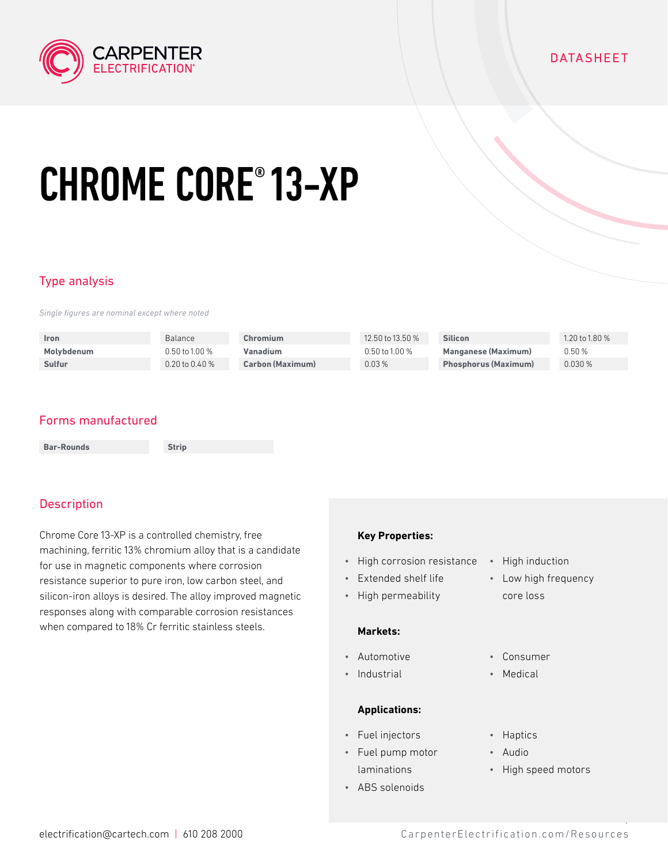

#### **DATASHEET**

# CHROME CORE® 13-XP

## Type analysis

*Single figures are nominal except where noted*

| <b>Iron</b> | <b>Balance</b>     | Chromium                | 12.50 to 13.50 %   | <b>Silicon</b>              | 1.20 to 1.80 $%$ |
|-------------|--------------------|-------------------------|--------------------|-----------------------------|------------------|
| Molybdenum  | $0.50$ to 1.00 %   | Vanadium                | $0.50$ to $1.00\%$ | <b>Manganese (Maximum)</b>  | 0.50%            |
| Sulfur      | $0.20$ to $0.40\%$ | <b>Carbon (Maximum)</b> | 0.03%              | <b>Phosphorus (Maximum)</b> | 0.030%           |

## Forms manufactured

| <b>Bar-Rounds</b> | <b>Strip</b> |
|-------------------|--------------|
|-------------------|--------------|

## **Description**

Chrome Core 13-XP is a controlled chemistry, free machining, ferritic 13% chromium alloy that is a candidate for use in magnetic components where corrosion resistance superior to pure iron, low carbon steel, and silicon-iron alloys is desired. The alloy improved magnetic responses along with comparable corrosion resistances when compared to 18% Cr ferritic stainless steels.

#### **Key Properties:**

- High corrosion resistance High induction
- Extended shelf life
- High permeability

#### **Markets:**

- Automotive
- Industrial

#### **Applications:**

- Fuel injectors
- Fuel pump motor laminations
- ABS solenoids
- 
- Low high frequency core loss
- Consumer
- Medical
- Haptics
- Audio
- High speed motors

1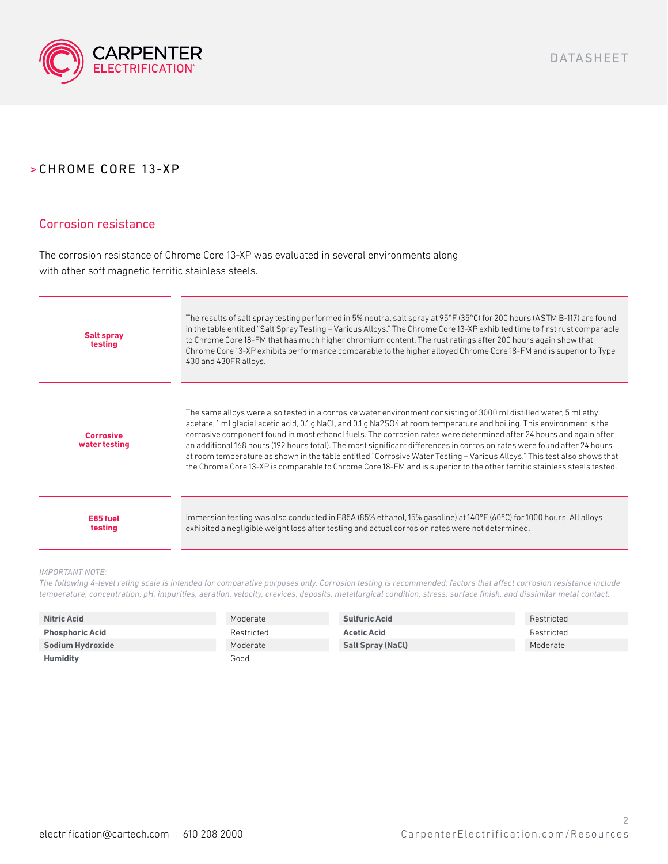

#### Corrosion resistance

The corrosion resistance of Chrome Core 13-XP was evaluated in several environments along with other soft magnetic ferritic stainless steels.

| <b>Salt spray</b><br>testing      | The results of salt spray testing performed in 5% neutral salt spray at 95°F (35°C) for 200 hours (ASTM B-117) are found<br>in the table entitled "Salt Spray Testing - Various Alloys." The Chrome Core 13-XP exhibited time to first rust comparable<br>to Chrome Core 18-FM that has much higher chromium content. The rust ratings after 200 hours again show that<br>Chrome Core 13-XP exhibits performance comparable to the higher alloyed Chrome Core 18-FM and is superior to Type<br>430 and 430FR alloys.                                                                                                                                                                                                                                      |
|-----------------------------------|-----------------------------------------------------------------------------------------------------------------------------------------------------------------------------------------------------------------------------------------------------------------------------------------------------------------------------------------------------------------------------------------------------------------------------------------------------------------------------------------------------------------------------------------------------------------------------------------------------------------------------------------------------------------------------------------------------------------------------------------------------------|
| <b>Corrosive</b><br>water testing | The same alloys were also tested in a corrosive water environment consisting of 3000 ml distilled water, 5 ml ethyl<br>acetate, 1 ml glacial acetic acid, 0.1 g NaCl, and 0.1 g Na2SO4 at room temperature and boiling. This environment is the<br>corrosive component found in most ethanol fuels. The corrosion rates were determined after 24 hours and again after<br>an additional 168 hours (192 hours total). The most significant differences in corrosion rates were found after 24 hours<br>at room temperature as shown in the table entitled "Corrosive Water Testing – Various Alloys." This test also shows that<br>the Chrome Core 13-XP is comparable to Chrome Core 18-FM and is superior to the other ferritic stainless steels tested. |
| E85 fuel<br>testina               | Immersion testing was also conducted in E85A (85% ethanol, 15% gasoline) at 140°F (60°C) for 1000 hours. All alloys<br>exhibited a negligible weight loss after testing and actual corrosion rates were not determined.                                                                                                                                                                                                                                                                                                                                                                                                                                                                                                                                   |

#### *IMPORTANT NOTE:*

*The following 4-level rating scale is intended for comparative purposes only. Corrosion testing is recommended; factors that affect corrosion resistance include temperature, concentration, pH, impurities, aeration, velocity, crevices, deposits, metallurgical condition, stress, surface finish, and dissimilar metal contact.*

| <b>Nitric Acid</b>     | Moderate   | <b>Sulfuric Acid</b>     | Restricted |
|------------------------|------------|--------------------------|------------|
| <b>Phosphoric Acid</b> | Restricted | <b>Acetic Acid</b>       | Restricted |
| Sodium Hydroxide       | Moderate   | <b>Salt Spray (NaCl)</b> | Moderate   |
| <b>Humidity</b>        | Good       |                          |            |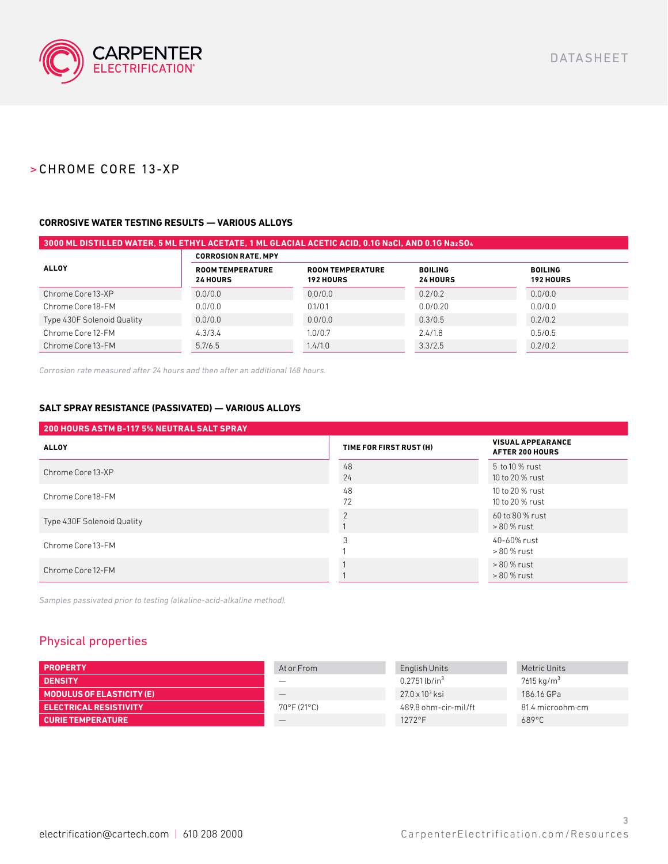

#### **CORROSIVE WATER TESTING RESULTS — VARIOUS ALLOYS**

| 3000 ML DISTILLED WATER, 5 ML ETHYL ACETATE, 1 ML GLACIAL ACETIC ACID, 0.1G NaCI, AND 0.1G Na2SO4 |                                            |                                             |                                   |                                    |  |  |  |  |
|---------------------------------------------------------------------------------------------------|--------------------------------------------|---------------------------------------------|-----------------------------------|------------------------------------|--|--|--|--|
|                                                                                                   | <b>CORROSION RATE, MPY</b>                 |                                             |                                   |                                    |  |  |  |  |
| <b>ALLOY</b>                                                                                      | <b>ROOM TEMPERATURE</b><br><b>24 HOURS</b> | <b>ROOM TEMPERATURE</b><br><b>192 HOURS</b> | <b>BOILING</b><br><b>24 HOURS</b> | <b>BOILING</b><br><b>192 HOURS</b> |  |  |  |  |
| Chrome Core 13-XP                                                                                 | 0.0/0.0                                    | 0.0/0.0                                     | 0.2/0.2                           | 0.0/0.0                            |  |  |  |  |
| Chrome Core 18-FM                                                                                 | 0.0/0.0                                    | 0.1/0.1                                     | 0.0/0.20                          | 0.0/0.0                            |  |  |  |  |
| Type 430F Solenoid Quality                                                                        | 0.0/0.0                                    | 0.0/0.0                                     | 0.3/0.5                           | 0.2/0.2                            |  |  |  |  |
| Chrome Core 12-FM                                                                                 | 4.3/3.4                                    | 1.0/0.7                                     | 2.4/1.8                           | 0.5/0.5                            |  |  |  |  |
| Chrome Core 13-FM                                                                                 | 5.7/6.5                                    | 1.4/1.0                                     | 3.3/2.5                           | 0.2/0.2                            |  |  |  |  |

*Corrosion rate measured after 24 hours and then after an additional 168 hours.*

#### **SALT SPRAY RESISTANCE (PASSIVATED) — VARIOUS ALLOYS**

| 200 HOURS ASTM B-117 5% NEUTRAL SALT SPRAY |                         |                                                    |
|--------------------------------------------|-------------------------|----------------------------------------------------|
| <b>ALLOY</b>                               | TIME FOR FIRST RUST (H) | <b>VISUAL APPEARANCE</b><br><b>AFTER 200 HOURS</b> |
| Chrome Core 13-XP                          | 48<br>24                | 5 to 10 % rust<br>10 to 20 % rust                  |
| Chrome Core 18-FM                          | 48<br>72                | 10 to 20 % rust<br>10 to 20 % rust                 |
| Type 430F Solenoid Quality                 | $\Omega$                | 60 to 80 % rust<br>> 80 % rust                     |
| Chrome Core 13-FM                          |                         | 40-60% rust<br>> 80 % rust                         |
| Chrome Core 12-FM                          |                         | > 80 % rust<br>> 80 % rust                         |

*Samples passivated prior to testing (alkaline-acid-alkaline method).*

### Physical properties

| <b>PROPERTY</b>                  | At or From            | English Units               | Metric Units             |
|----------------------------------|-----------------------|-----------------------------|--------------------------|
| <b>DENSITY</b>                   |                       | $0.2751$ lb/in <sup>3</sup> | $7615$ kg/m <sup>3</sup> |
| <b>MODULUS OF ELASTICITY (E)</b> |                       | $27.0 \times 10^3$ ksi      | 186.16 GPa               |
| <b>ELECTRICAL RESISTIVITY</b>    | $70^{\circ}$ F (21°C) | 489.8 ohm-cir-mil/ft        | 81.4 microohm·cm         |
| <b>CURIE TEMPERATURE</b>         |                       | $1272$ °F                   | $689^{\circ}$ C          |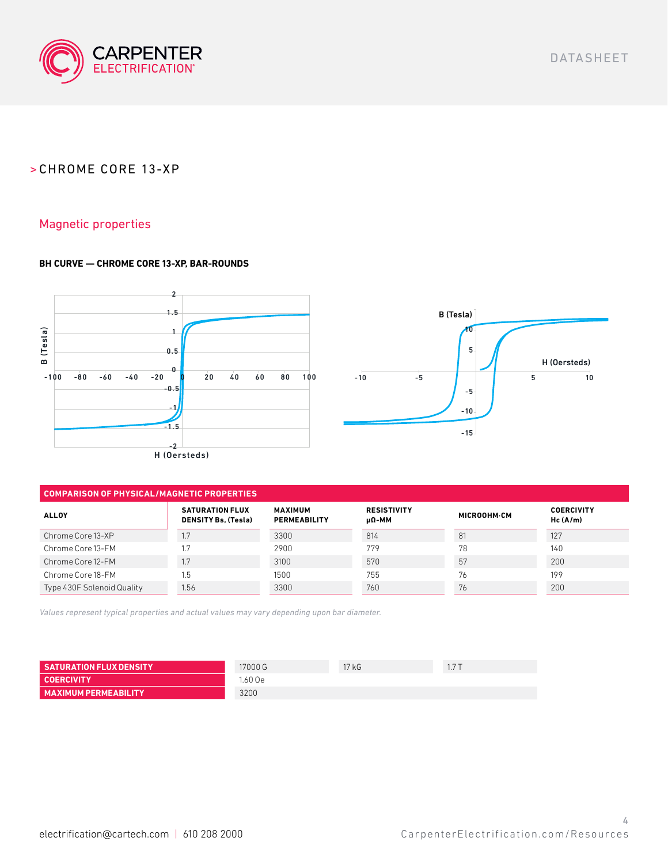

DATASHEET

## > CHROME CORE 13-XP

### Magnetic properties

#### **BH CURVE — CHROME CORE 13-XP, BAR-ROUNDS**



#### **COMPARISON OF PHYSICAL/MAGNETIC PROPERTIES**

| <b>ALLOY</b>               | <b>SATURATION FLUX</b><br><b>DENSITY Bs, (Tesla)</b> | <b>MAXIMUM</b><br><b>PERMEABILITY</b> | <b>RESISTIVITY</b><br>μΩ-МΜ | MICROOHM-CM | <b>COERCIVITY</b><br>Hc(A/m) |
|----------------------------|------------------------------------------------------|---------------------------------------|-----------------------------|-------------|------------------------------|
| Chrome Core 13-XP          | 1.7                                                  | 3300                                  | 814                         | 81          | 127                          |
| Chrome Core 13-FM          |                                                      | 2900                                  | 779                         | 78          | 140                          |
| Chrome Core 12-FM          | 1.7                                                  | 3100                                  | 570                         | 57          | 200                          |
| Chrome Core 18-FM          | 1.5                                                  | 1500                                  | 755                         | 76          | 199                          |
| Type 430F Solenoid Quality | 1.56                                                 | 3300                                  | 760                         | 76          | 200                          |

*Values represent typical properties and actual values may vary depending upon bar diameter.*

| <b>SATURATION FLUX DENSITY</b> | 17000 G | 17 kG | 177<br>. |
|--------------------------------|---------|-------|----------|
| <b>COERCIVITY</b>              | .60 Oe  |       |          |
| <b>MAXIMUM PERMEABILITY</b>    | 3200    |       |          |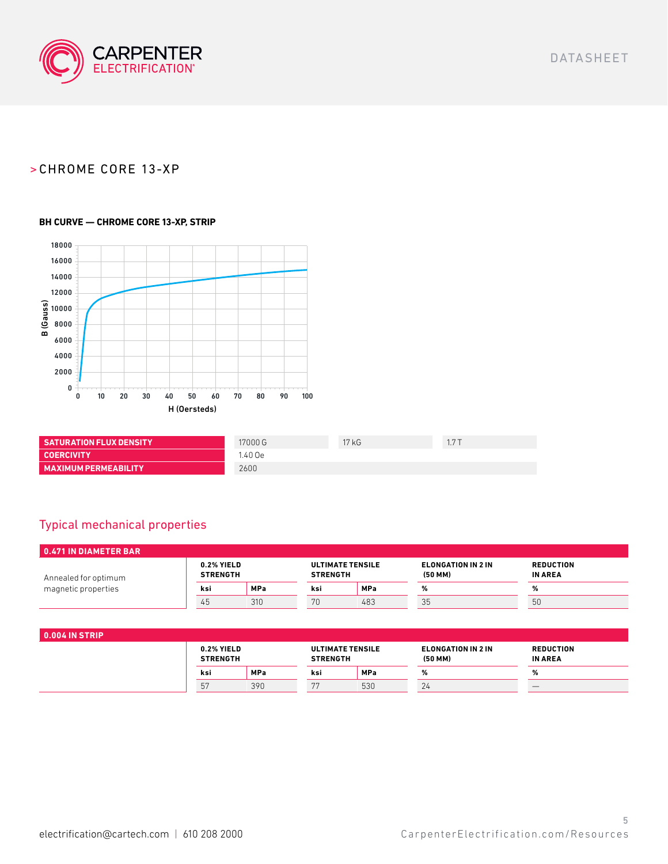

#### **BH CURVE — CHROME CORE 13-XP, STRIP**



| <b>SATURATION FLUX DENSITY</b> | 17000 G | 17kG | 17T |
|--------------------------------|---------|------|-----|
| <b>COERCIVITY</b>              | 1.40 Oe |      |     |
| <b>MAXIMUM PERMEABILITY</b>    | 2600    |      |     |

## Typical mechanical properties

| $\overline{0.471}$ IN DIAMETER BAR |                               |            |                                            |            |                                           |                                    |  |
|------------------------------------|-------------------------------|------------|--------------------------------------------|------------|-------------------------------------------|------------------------------------|--|
| Annealed for optimum               | 0.2% YIELD<br><b>STRENGTH</b> |            | <b>ULTIMATE TENSILE</b><br><b>STRENGTH</b> |            | <b>ELONGATION IN 2 IN</b><br>$(50$ MM $)$ | <b>REDUCTION</b><br><b>IN AREA</b> |  |
| magnetic properties                | ksi                           | <b>MPa</b> | ksi                                        | <b>MPa</b> |                                           | ℅                                  |  |
|                                    | 45                            | 310        | 70                                         | 483        | 35                                        | 50                                 |  |

| <b>0.004 IN STRIP</b> |                               |            |                                            |            |                                    |                                    |  |
|-----------------------|-------------------------------|------------|--------------------------------------------|------------|------------------------------------|------------------------------------|--|
|                       | 0.2% YIELD<br><b>STRENGTH</b> |            | <b>ULTIMATE TENSILE</b><br><b>STRENGTH</b> |            | ELONGATION IN 2 IN<br>$(50$ MM $)$ | <b>REDUCTION</b><br><b>IN AREA</b> |  |
|                       | ksi                           | <b>MPa</b> | ksi                                        | <b>MPa</b> | ℅                                  | 70                                 |  |
|                       | 57                            | 390        | 77                                         | 530        | 24                                 |                                    |  |
|                       |                               |            |                                            |            |                                    |                                    |  |

DATASHEET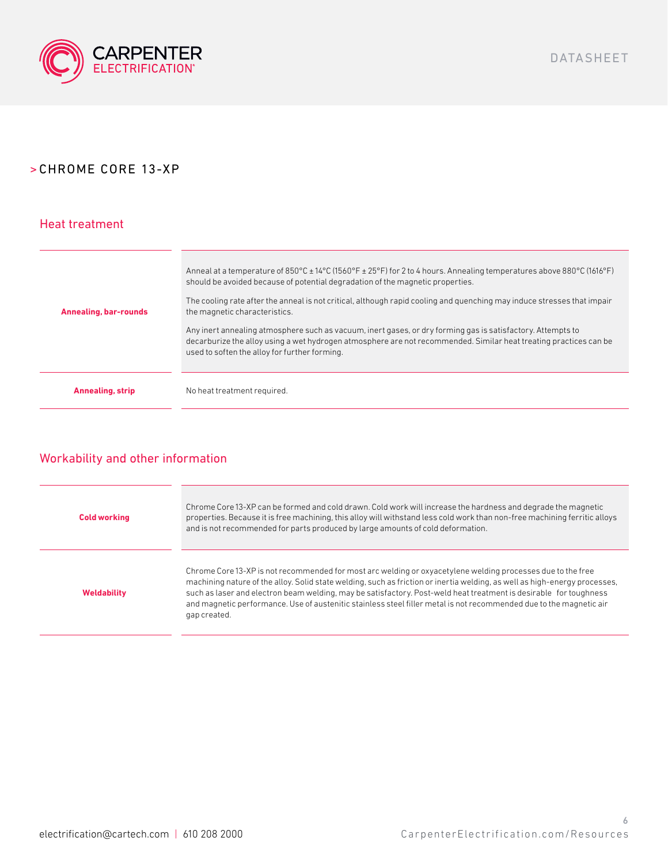

### Heat treatment

| Annealing, bar-rounds   | Anneal at a temperature of $850^{\circ}$ C $\pm$ 14°C (1560°F $\pm$ 25°F) for 2 to 4 hours. Annealing temperatures above 880°C (1616°F)<br>should be avoided because of potential degradation of the magnetic properties.<br>The cooling rate after the anneal is not critical, although rapid cooling and quenching may induce stresses that impair<br>the magnetic characteristics.<br>Any inert annealing atmosphere such as vacuum, inert gases, or dry forming gas is satisfactory. Attempts to<br>decarburize the alloy using a wet hydrogen atmosphere are not recommended. Similar heat treating practices can be<br>used to soften the alloy for further forming. |
|-------------------------|----------------------------------------------------------------------------------------------------------------------------------------------------------------------------------------------------------------------------------------------------------------------------------------------------------------------------------------------------------------------------------------------------------------------------------------------------------------------------------------------------------------------------------------------------------------------------------------------------------------------------------------------------------------------------|
|                         |                                                                                                                                                                                                                                                                                                                                                                                                                                                                                                                                                                                                                                                                            |
| <b>Annealing, strip</b> | No heat treatment required.                                                                                                                                                                                                                                                                                                                                                                                                                                                                                                                                                                                                                                                |

## Workability and other information

| <b>Cold working</b> | Chrome Core 13-XP can be formed and cold drawn. Cold work will increase the hardness and degrade the magnetic<br>properties. Because it is free machining, this alloy will withstand less cold work than non-free machining ferritic alloys<br>and is not recommended for parts produced by large amounts of cold deformation.                                                                                                                                                                        |
|---------------------|-------------------------------------------------------------------------------------------------------------------------------------------------------------------------------------------------------------------------------------------------------------------------------------------------------------------------------------------------------------------------------------------------------------------------------------------------------------------------------------------------------|
| <b>Weldability</b>  | Chrome Core 13-XP is not recommended for most arc welding or oxyacetylene welding processes due to the free<br>machining nature of the alloy. Solid state welding, such as friction or inertia welding, as well as high-energy processes,<br>such as laser and electron beam welding, may be satisfactory. Post-weld heat treatment is desirable for toughness<br>and magnetic performance. Use of austenitic stainless steel filler metal is not recommended due to the magnetic air<br>gap created. |